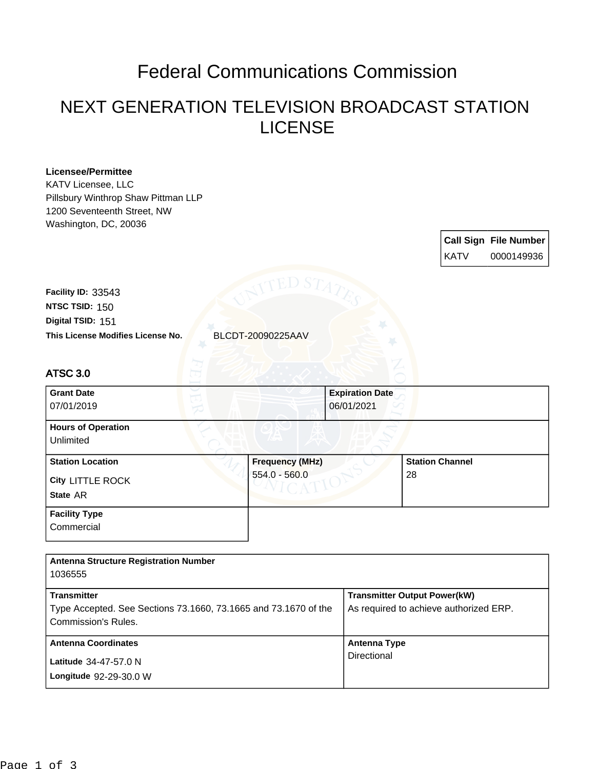## Federal Communications Commission

## NEXT GENERATION TELEVISION BROADCAST STATION LICENSE

| <b>Licensee/Permittee</b><br><b>KATV Licensee, LLC</b><br>Pillsbury Winthrop Shaw Pittman LLP |                        |                                        |                                     |             |                              |
|-----------------------------------------------------------------------------------------------|------------------------|----------------------------------------|-------------------------------------|-------------|------------------------------|
| 1200 Seventeenth Street, NW                                                                   |                        |                                        |                                     |             |                              |
| Washington, DC, 20036                                                                         |                        |                                        |                                     |             |                              |
|                                                                                               |                        |                                        |                                     |             | <b>Call Sign File Number</b> |
|                                                                                               |                        |                                        |                                     | <b>KATV</b> | 0000149936                   |
|                                                                                               |                        |                                        |                                     |             |                              |
| Facility ID: 33543                                                                            |                        |                                        |                                     |             |                              |
| NTSC TSID: 150                                                                                |                        |                                        |                                     |             |                              |
| Digital TSID: 151                                                                             |                        |                                        |                                     |             |                              |
| This License Modifies License No.                                                             | BLCDT-20090225AAV      |                                        |                                     |             |                              |
|                                                                                               |                        |                                        |                                     |             |                              |
| <b>ATSC 3.0</b>                                                                               |                        |                                        |                                     |             |                              |
| <b>Grant Date</b>                                                                             |                        | <b>Expiration Date</b>                 |                                     |             |                              |
| 07/01/2019                                                                                    |                        | 06/01/2021                             |                                     |             |                              |
| <b>Hours of Operation</b><br>Unlimited                                                        |                        |                                        |                                     |             |                              |
| <b>Station Location</b>                                                                       | <b>Frequency (MHz)</b> |                                        | <b>Station Channel</b>              |             |                              |
| <b>City LITTLE ROCK</b>                                                                       | 554.0 - 560.0          |                                        | 28                                  |             |                              |
| State AR                                                                                      |                        |                                        |                                     |             |                              |
| <b>Facility Type</b>                                                                          |                        |                                        |                                     |             |                              |
| Commercial                                                                                    |                        |                                        |                                     |             |                              |
|                                                                                               |                        |                                        |                                     |             |                              |
|                                                                                               |                        |                                        |                                     |             |                              |
| <b>Antenna Structure Registration Number</b><br>1036555                                       |                        |                                        |                                     |             |                              |
|                                                                                               |                        |                                        |                                     |             |                              |
| <b>Transmitter</b>                                                                            |                        |                                        | <b>Transmitter Output Power(kW)</b> |             |                              |
| Type Accepted. See Sections 73.1660, 73.1665 and 73.1670 of the                               |                        | As required to achieve authorized ERP. |                                     |             |                              |
| <b>Commission's Rules.</b>                                                                    |                        |                                        |                                     |             |                              |
| <b>Antenna Coordinates</b>                                                                    |                        | <b>Antenna Type</b>                    |                                     |             |                              |
| Latitude 34-47-57.0 N                                                                         |                        | Directional                            |                                     |             |                              |

**Longitude** 92-29-30.0 W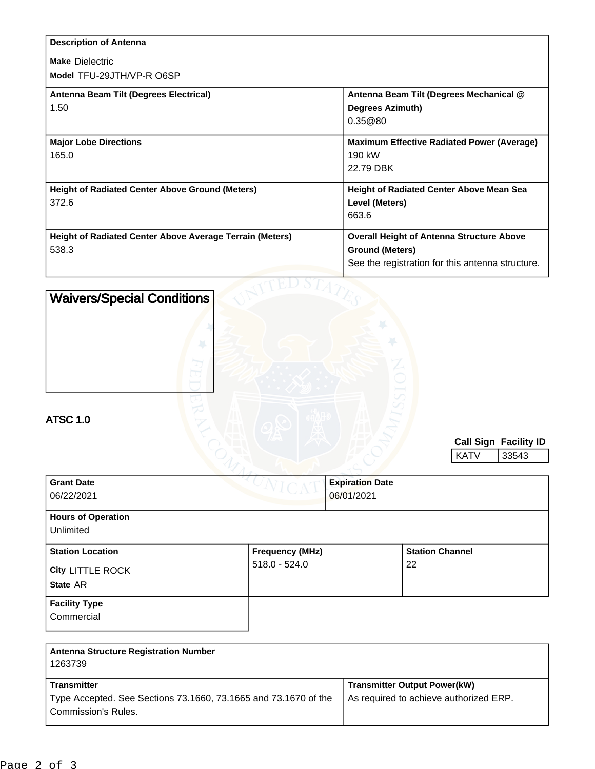| <b>Description of Antenna</b>                                   |                                                   |
|-----------------------------------------------------------------|---------------------------------------------------|
| <b>Make Dielectric</b>                                          |                                                   |
| Model TFU-29JTH/VP-R O6SP                                       |                                                   |
| Antenna Beam Tilt (Degrees Electrical)                          | Antenna Beam Tilt (Degrees Mechanical @           |
| 1.50                                                            | <b>Degrees Azimuth)</b>                           |
|                                                                 | 0.35@80                                           |
| <b>Major Lobe Directions</b>                                    | <b>Maximum Effective Radiated Power (Average)</b> |
| 165.0                                                           | 190 kW                                            |
|                                                                 | 22.79 DBK                                         |
| <b>Height of Radiated Center Above Ground (Meters)</b>          | <b>Height of Radiated Center Above Mean Sea</b>   |
| 372.6                                                           | Level (Meters)                                    |
|                                                                 | 663.6                                             |
| <b>Height of Radiated Center Above Average Terrain (Meters)</b> | <b>Overall Height of Antenna Structure Above</b>  |
| 538.3                                                           | <b>Ground (Meters)</b>                            |
|                                                                 | See the registration for this antenna structure.  |
| .                                                               |                                                   |

| <b>Waivers/Special Conditions</b><br><b>ATSC 1.0</b> |                        |                        |                        |             |                              |
|------------------------------------------------------|------------------------|------------------------|------------------------|-------------|------------------------------|
|                                                      |                        |                        |                        |             | <b>Call Sign Facility ID</b> |
|                                                      |                        |                        |                        | <b>KATV</b> | 33543                        |
|                                                      |                        |                        |                        |             |                              |
| <b>Grant Date</b>                                    |                        | <b>Expiration Date</b> |                        |             |                              |
| 06/22/2021                                           |                        | 06/01/2021             |                        |             |                              |
| <b>Hours of Operation</b>                            |                        |                        |                        |             |                              |
| Unlimited                                            |                        |                        |                        |             |                              |
| <b>Station Location</b>                              | <b>Frequency (MHz)</b> |                        | <b>Station Channel</b> |             |                              |
| City LITTLE ROCK                                     | $518.0 - 524.0$        |                        | 22                     |             |                              |
| State AR                                             |                        |                        |                        |             |                              |
|                                                      |                        |                        |                        |             |                              |
| <b>Facility Type</b>                                 |                        |                        |                        |             |                              |
| Commercial                                           |                        |                        |                        |             |                              |
|                                                      |                        |                        |                        |             |                              |
| . .<br>$\sim$<br>.<br>$\sim$ $\sim$                  |                        |                        |                        |             |                              |

| <b>Antenna Structure Registration Number</b><br>1263739                                       |                                        |
|-----------------------------------------------------------------------------------------------|----------------------------------------|
| <b>Transmitter</b>                                                                            | <b>Transmitter Output Power(kW)</b>    |
| Type Accepted. See Sections 73.1660, 73.1665 and 73.1670 of the<br><b>Commission's Rules.</b> | As required to achieve authorized ERP. |